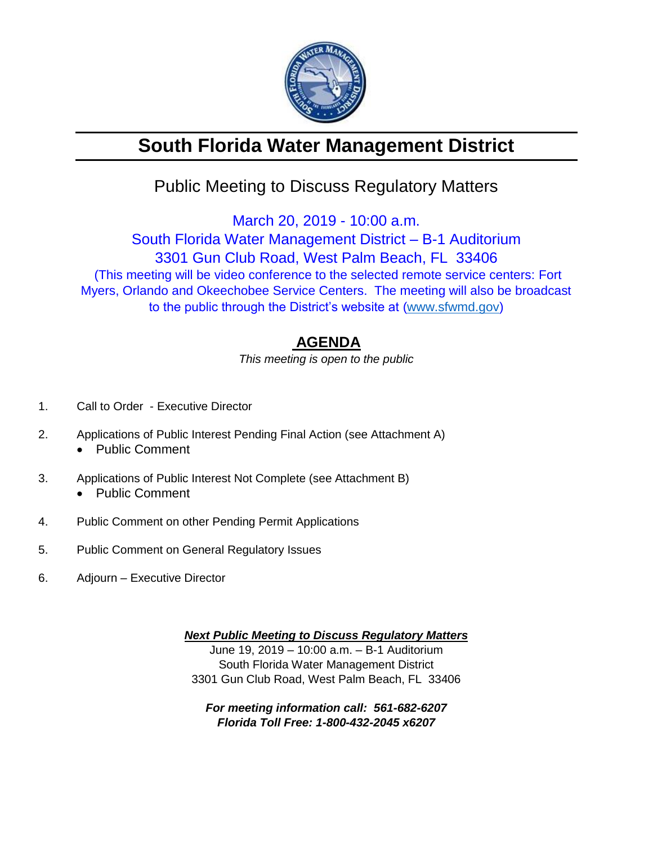

# **South Florida Water Management District**

## Public Meeting to Discuss Regulatory Matters

March 20, 2019 - 10:00 a.m.

South Florida Water Management District – B-1 Auditorium 3301 Gun Club Road, West Palm Beach, FL 33406 (This meeting will be video conference to the selected remote service centers: Fort Myers, Orlando and Okeechobee Service Centers. The meeting will also be broadcast to the public through the District's website at [\(www.sfwmd.gov\)](http://www.sfwmd.gov/)

### **AGENDA**

*This meeting is open to the public*

- 1. Call to Order Executive Director
- 2. Applications of Public Interest Pending Final Action (see Attachment A)
	- Public Comment
- 3. Applications of Public Interest Not Complete (see Attachment B) • Public Comment
- 4. Public Comment on other Pending Permit Applications
- 
- 5. Public Comment on General Regulatory Issues
- 6. Adjourn Executive Director

*Next Public Meeting to Discuss Regulatory Matters* June 19, 2019 – 10:00 a.m. – B-1 Auditorium South Florida Water Management District 3301 Gun Club Road, West Palm Beach, FL 33406

*For meeting information call: 561-682-6207 Florida Toll Free: 1-800-432-2045 x6207*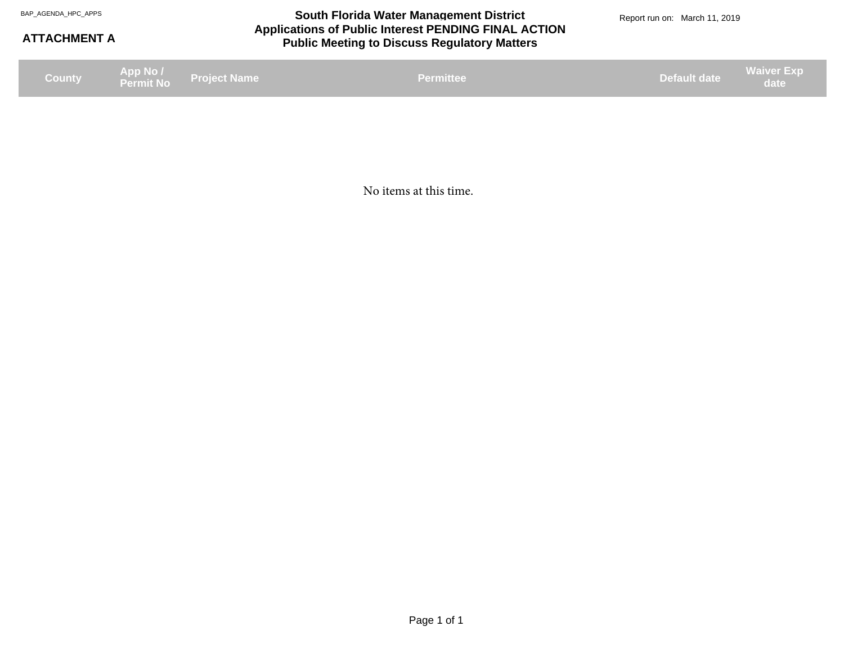#### **Applications of Public Interest PENDING FINAL ACTION Public Meeting to Discuss Regulatory Matters** BAP\_AGENDA\_HPC\_APPS **South Florida Water Management District** BAP\_AGENDA\_HPC\_APPS Report run on: March 11, 2019

#### **ATTACHMENT A**

**Project Name App No / Permit No County Default date Waiver Exp date Permittee date Permittee date Permittee date Permittee date date date date date date** 

No items at this time.